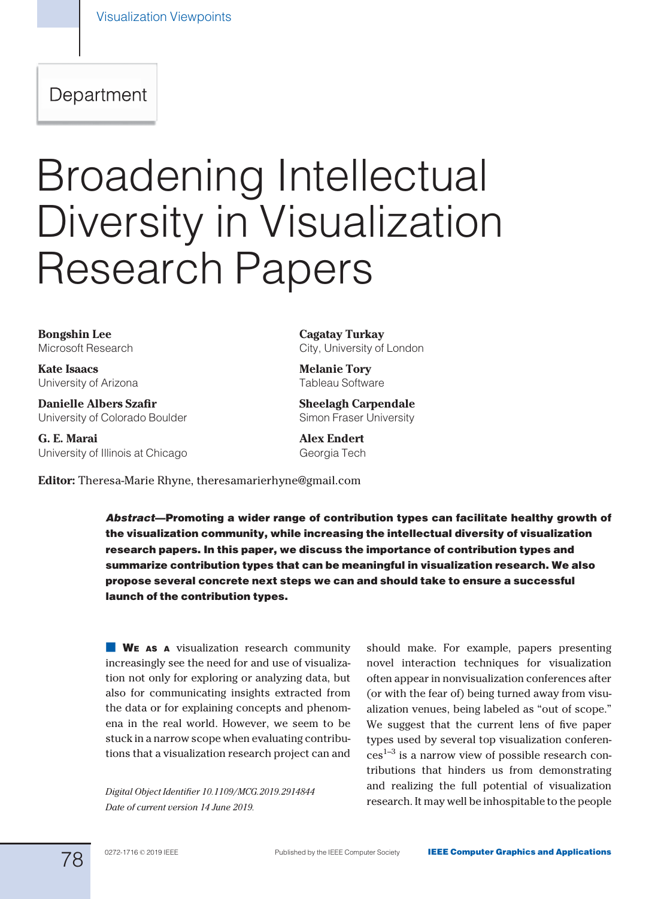# Department

# Broadening Intellectual Diversity in Visualization Research Papers

Bongshin Lee Microsoft Research

Kate Isaacs University of Arizona

Danielle Albers Szafir University of Colorado Boulder

G. E. Marai University of Illinois at Chicago Cagatay Turkay City, University of London

Melanie Tory Tableau Software

Sheelagh Carpendale Simon Fraser University

Alex Endert Georgia Tech

Editor: Theresa-Marie Rhyne, [theresamarierhyne@gmail.com](mailto:)

Abstract—Promoting a wider range of contribution types can facilitate healthy growth of the visualization community, while increasing the intellectual diversity of visualization research papers. In this paper, we discuss the importance of contribution types and summarize contribution types that can be meaningful in visualization research. We also propose several concrete next steps we can and should take to ensure a successful launch of the contribution types.

**WE AS A** visualization research community increasingly see the need for and use of visualization not only for exploring or analyzing data, but also for communicating insights extracted from the data or for explaining concepts and phenomena in the real world. However, we seem to be stuck in a narrow scope when evaluating contributions that a visualization research project can and

Date of current version 14 June 2019.

should make. For example, papers presenting novel interaction techniques for visualization often appear in nonvisualization conferences after (or with the fear of) being turned away from visualization venues, being labeled as "out of scope." We suggest that the current lens of five paper types used by several top visualization conferen- $\cos^{1-3}$  is a narrow view of possible research contributions that hinders us from demonstrating and realizing the full potential of visualization Digital Object Identifier 10.1109/MCG.2019.2914844 and realizing the fun potential of visualization<br>research. It may well be inhospitable to the people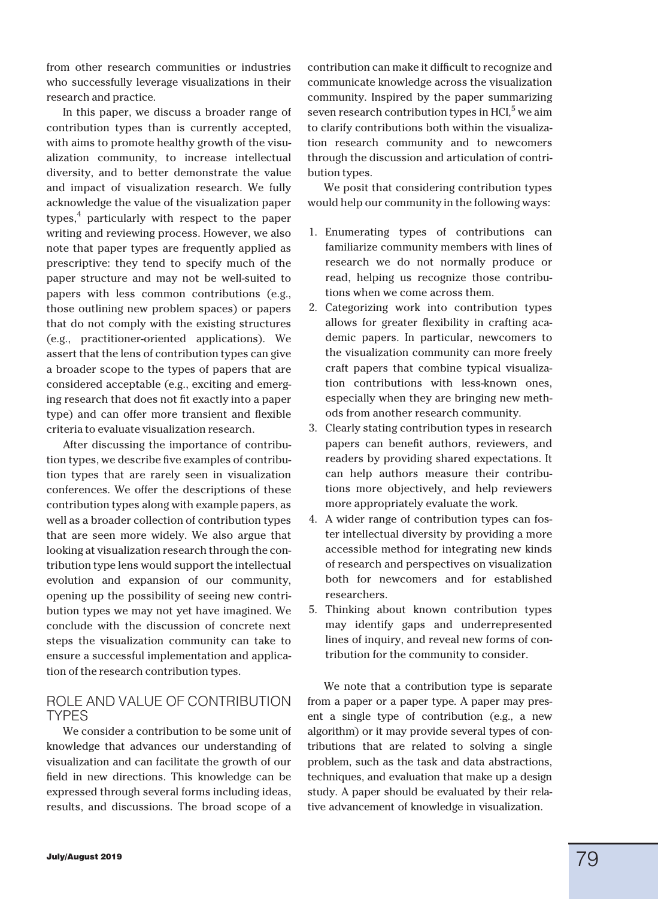from other research communities or industries who successfully leverage visualizations in their research and practice.

In this paper, we discuss a broader range of contribution types than is currently accepted, with aims to promote healthy growth of the visualization community, to increase intellectual diversity, and to better demonstrate the value and impact of visualization research. We fully acknowledge the value of the visualization paper types,<sup>4</sup> particularly with respect to the paper writing and reviewing process. However, we also note that paper types are frequently applied as prescriptive: they tend to specify much of the paper structure and may not be well-suited to papers with less common contributions (e.g., those outlining new problem spaces) or papers that do not comply with the existing structures (e.g., practitioner-oriented applications). We assert that the lens of contribution types can give a broader scope to the types of papers that are considered acceptable (e.g., exciting and emerging research that does not fit exactly into a paper type) and can offer more transient and flexible criteria to evaluate visualization research.

After discussing the importance of contribution types, we describe five examples of contribution types that are rarely seen in visualization conferences. We offer the descriptions of these contribution types along with example papers, as well as a broader collection of contribution types that are seen more widely. We also argue that looking at visualization research through the contribution type lens would support the intellectual evolution and expansion of our community, opening up the possibility of seeing new contribution types we may not yet have imagined. We conclude with the discussion of concrete next steps the visualization community can take to ensure a successful implementation and application of the research contribution types.

# ROLE AND VALUE OF CONTRIBUTION TYPES

We consider a contribution to be some unit of knowledge that advances our understanding of visualization and can facilitate the growth of our field in new directions. This knowledge can be expressed through several forms including ideas, results, and discussions. The broad scope of a contribution can make it difficult to recognize and communicate knowledge across the visualization community. Inspired by the paper summarizing seven research contribution types in HCI $<sup>5</sup>$  we aim</sup> to clarify contributions both within the visualization research community and to newcomers through the discussion and articulation of contribution types.

We posit that considering contribution types would help our community in the following ways:

- 1. Enumerating types of contributions can familiarize community members with lines of research we do not normally produce or read, helping us recognize those contributions when we come across them.
- 2. Categorizing work into contribution types allows for greater flexibility in crafting academic papers. In particular, newcomers to the visualization community can more freely craft papers that combine typical visualization contributions with less-known ones, especially when they are bringing new methods from another research community.
- 3. Clearly stating contribution types in research papers can benefit authors, reviewers, and readers by providing shared expectations. It can help authors measure their contributions more objectively, and help reviewers more appropriately evaluate the work.
- 4. A wider range of contribution types can foster intellectual diversity by providing a more accessible method for integrating new kinds of research and perspectives on visualization both for newcomers and for established researchers.
- 5. Thinking about known contribution types may identify gaps and underrepresented lines of inquiry, and reveal new forms of contribution for the community to consider.

We note that a contribution type is separate from a paper or a paper type. A paper may present a single type of contribution (e.g., a new algorithm) or it may provide several types of contributions that are related to solving a single problem, such as the task and data abstractions, techniques, and evaluation that make up a design study. A paper should be evaluated by their relative advancement of knowledge in visualization.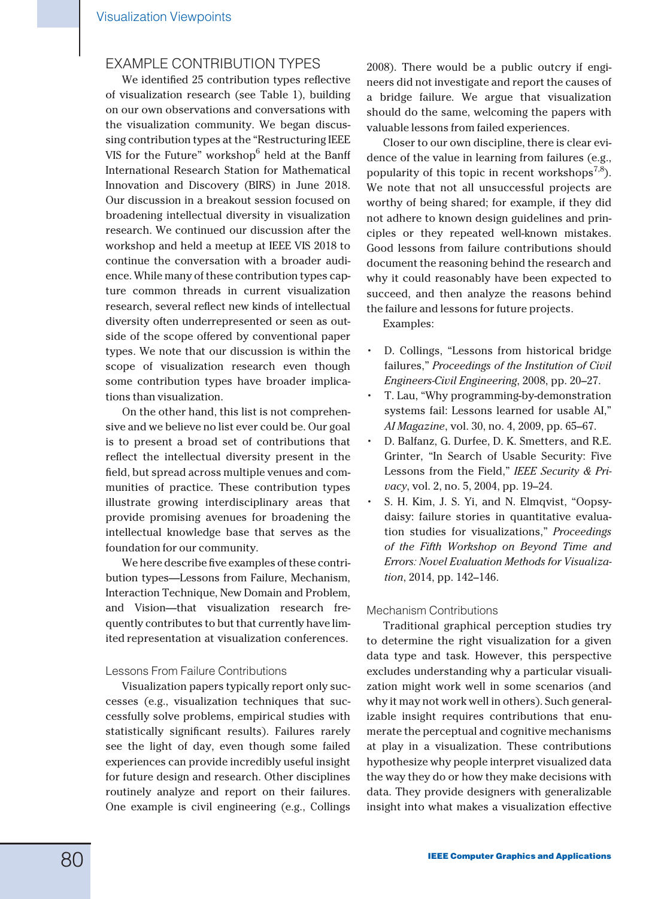## EXAMPLE CONTRIBUTION TYPES

We identified 25 contribution types reflective of visualization research (see Table 1), building on our own observations and conversations with the visualization community. We began discussing contribution types at the "Restructuring IEEE VIS for the Future" workshop $6$  held at the Banff International Research Station for Mathematical Innovation and Discovery (BIRS) in June 2018. Our discussion in a breakout session focused on broadening intellectual diversity in visualization research. We continued our discussion after the workshop and held a meetup at IEEE VIS 2018 to continue the conversation with a broader audience. While many of these contribution types capture common threads in current visualization research, several reflect new kinds of intellectual diversity often underrepresented or seen as outside of the scope offered by conventional paper types. We note that our discussion is within the scope of visualization research even though some contribution types have broader implications than visualization.

On the other hand, this list is not comprehensive and we believe no list ever could be. Our goal is to present a broad set of contributions that reflect the intellectual diversity present in the field, but spread across multiple venues and communities of practice. These contribution types illustrate growing interdisciplinary areas that provide promising avenues for broadening the intellectual knowledge base that serves as the foundation for our community.

We here describe five examples of these contribution types—Lessons from Failure, Mechanism, Interaction Technique, New Domain and Problem, and Vision—that visualization research frequently contributes to but that currently have limited representation at visualization conferences.

#### Lessons From Failure Contributions

Visualization papers typically report only successes (e.g., visualization techniques that successfully solve problems, empirical studies with statistically significant results). Failures rarely see the light of day, even though some failed experiences can provide incredibly useful insight for future design and research. Other disciplines routinely analyze and report on their failures. One example is civil engineering (e.g., Collings

2008). There would be a public outcry if engineers did not investigate and report the causes of a bridge failure. We argue that visualization should do the same, welcoming the papers with valuable lessons from failed experiences.

Closer to our own discipline, there is clear evidence of the value in learning from failures (e.g., popularity of this topic in recent workshops<sup>7,8</sup>). We note that not all unsuccessful projects are worthy of being shared; for example, if they did not adhere to known design guidelines and principles or they repeated well-known mistakes. Good lessons from failure contributions should document the reasoning behind the research and why it could reasonably have been expected to succeed, and then analyze the reasons behind the failure and lessons for future projects.

Examples:

- D. Collings, "Lessons from historical bridge failures," Proceedings of the Institution of Civil Engineers-Civil Engineering, 2008, pp. 20–27.
- T. Lau, "Why programming-by-demonstration systems fail: Lessons learned for usable AI," AI Magazine, vol. 30, no. 4, 2009, pp. 65–67.
- D. Balfanz, G. Durfee, D. K. Smetters, and R.E. Grinter, "In Search of Usable Security: Five Lessons from the Field," IEEE Security & Privacy, vol. 2, no. 5, 2004, pp. 19–24.
- S. H. Kim, J. S. Yi, and N. Elmqvist, "Oopsydaisy: failure stories in quantitative evaluation studies for visualizations," Proceedings of the Fifth Workshop on Beyond Time and Errors: Novel Evaluation Methods for Visualization, 2014, pp. 142–146.

#### Mechanism Contributions

Traditional graphical perception studies try to determine the right visualization for a given data type and task. However, this perspective excludes understanding why a particular visualization might work well in some scenarios (and why it may not work well in others). Such generalizable insight requires contributions that enumerate the perceptual and cognitive mechanisms at play in a visualization. These contributions hypothesize why people interpret visualized data the way they do or how they make decisions with data. They provide designers with generalizable insight into what makes a visualization effective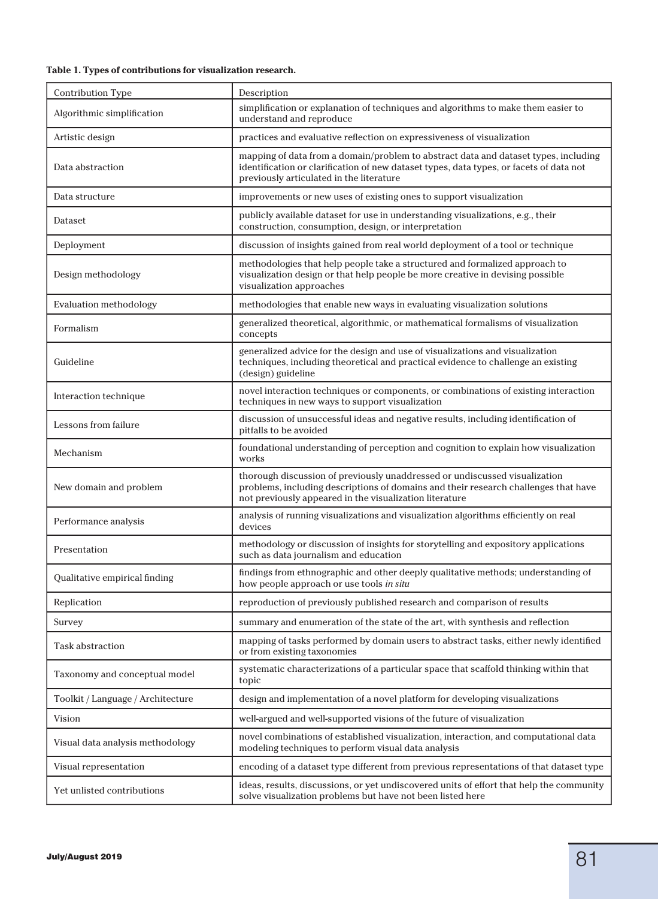#### Table 1. Types of contributions for visualization research.

| Contribution Type                 | Description                                                                                                                                                                                                                  |
|-----------------------------------|------------------------------------------------------------------------------------------------------------------------------------------------------------------------------------------------------------------------------|
| Algorithmic simplification        | simplification or explanation of techniques and algorithms to make them easier to<br>understand and reproduce                                                                                                                |
| Artistic design                   | practices and evaluative reflection on expressiveness of visualization                                                                                                                                                       |
| Data abstraction                  | mapping of data from a domain/problem to abstract data and dataset types, including<br>identification or clarification of new dataset types, data types, or facets of data not<br>previously articulated in the literature   |
| Data structure                    | improvements or new uses of existing ones to support visualization                                                                                                                                                           |
| Dataset                           | publicly available dataset for use in understanding visualizations, e.g., their<br>construction, consumption, design, or interpretation                                                                                      |
| Deployment                        | discussion of insights gained from real world deployment of a tool or technique                                                                                                                                              |
| Design methodology                | methodologies that help people take a structured and formalized approach to<br>visualization design or that help people be more creative in devising possible<br>visualization approaches                                    |
| Evaluation methodology            | methodologies that enable new ways in evaluating visualization solutions                                                                                                                                                     |
| Formalism                         | generalized theoretical, algorithmic, or mathematical formalisms of visualization<br>concepts                                                                                                                                |
| Guideline                         | generalized advice for the design and use of visualizations and visualization<br>techniques, including theoretical and practical evidence to challenge an existing<br>(design) guideline                                     |
| Interaction technique             | novel interaction techniques or components, or combinations of existing interaction<br>techniques in new ways to support visualization                                                                                       |
| Lessons from failure              | discussion of unsuccessful ideas and negative results, including identification of<br>pitfalls to be avoided                                                                                                                 |
| Mechanism                         | foundational understanding of perception and cognition to explain how visualization<br>works                                                                                                                                 |
| New domain and problem            | thorough discussion of previously unaddressed or undiscussed visualization<br>problems, including descriptions of domains and their research challenges that have<br>not previously appeared in the visualization literature |
| Performance analysis              | analysis of running visualizations and visualization algorithms efficiently on real<br>devices                                                                                                                               |
| Presentation                      | methodology or discussion of insights for storytelling and expository applications<br>such as data journalism and education                                                                                                  |
| Qualitative empirical finding     | findings from ethnographic and other deeply qualitative methods; understanding of<br>how people approach or use tools in situ                                                                                                |
| Replication                       | reproduction of previously published research and comparison of results                                                                                                                                                      |
| Survey                            | summary and enumeration of the state of the art, with synthesis and reflection                                                                                                                                               |
| Task abstraction                  | mapping of tasks performed by domain users to abstract tasks, either newly identified<br>or from existing taxonomies                                                                                                         |
| Taxonomy and conceptual model     | systematic characterizations of a particular space that scaffold thinking within that<br>topic                                                                                                                               |
| Toolkit / Language / Architecture | design and implementation of a novel platform for developing visualizations                                                                                                                                                  |
| Vision                            | well-argued and well-supported visions of the future of visualization                                                                                                                                                        |
| Visual data analysis methodology  | novel combinations of established visualization, interaction, and computational data<br>modeling techniques to perform visual data analysis                                                                                  |
| Visual representation             | encoding of a dataset type different from previous representations of that dataset type                                                                                                                                      |
| Yet unlisted contributions        | ideas, results, discussions, or yet undiscovered units of effort that help the community<br>solve visualization problems but have not been listed here                                                                       |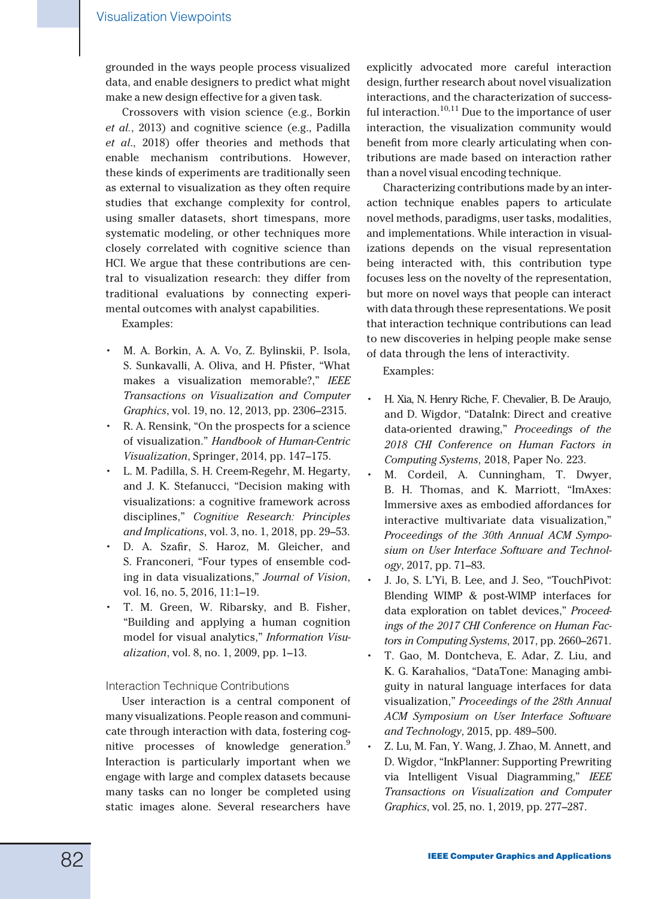grounded in the ways people process visualized data, and enable designers to predict what might make a new design effective for a given task.

Crossovers with vision science (e.g., Borkin et al., 2013) and cognitive science (e.g., Padilla et al., 2018) offer theories and methods that enable mechanism contributions. However, these kinds of experiments are traditionally seen as external to visualization as they often require studies that exchange complexity for control, using smaller datasets, short timespans, more systematic modeling, or other techniques more closely correlated with cognitive science than HCI. We argue that these contributions are central to visualization research: they differ from traditional evaluations by connecting experimental outcomes with analyst capabilities.

Examples:

- M. A. Borkin, A. A. Vo, Z. Bylinskii, P. Isola, S. Sunkavalli, A. Oliva, and H. Pfister, "What makes a visualization memorable?," IEEE Transactions on Visualization and Computer Graphics, vol. 19, no. 12, 2013, pp. 2306–2315.
- R. A. Rensink, "On the prospects for a science of visualization." Handbook of Human-Centric Visualization, Springer, 2014, pp. 147–175.
- L. M. Padilla, S. H. Creem-Regehr, M. Hegarty, and J. K. Stefanucci, "Decision making with visualizations: a cognitive framework across disciplines," Cognitive Research: Principles and Implications, vol. 3, no. 1, 2018, pp. 29–53.
- D. A. Szafir, S. Haroz, M. Gleicher, and S. Franconeri, "Four types of ensemble coding in data visualizations," Journal of Vision, vol. 16, no. 5, 2016, 11:1–19.
- T. M. Green, W. Ribarsky, and B. Fisher, "Building and applying a human cognition model for visual analytics," Information Visualization, vol. 8, no. 1, 2009, pp. 1–13.

Interaction Technique Contributions

User interaction is a central component of many visualizations. People reason and communicate through interaction with data, fostering cognitive processes of knowledge generation.<sup>9</sup> Interaction is particularly important when we engage with large and complex datasets because many tasks can no longer be completed using static images alone. Several researchers have

explicitly advocated more careful interaction design, further research about novel visualization interactions, and the characterization of successful interaction. $10,11$  Due to the importance of user interaction, the visualization community would benefit from more clearly articulating when contributions are made based on interaction rather than a novel visual encoding technique.

Characterizing contributions made by an interaction technique enables papers to articulate novel methods, paradigms, user tasks, modalities, and implementations. While interaction in visualizations depends on the visual representation being interacted with, this contribution type focuses less on the novelty of the representation, but more on novel ways that people can interact with data through these representations. We posit that interaction technique contributions can lead to new discoveries in helping people make sense of data through the lens of interactivity.

Examples:

- H. Xia, N. Henry Riche, F. Chevalier, B. De Araujo, and D. Wigdor, "DataInk: Direct and creative data-oriented drawing," Proceedings of the 2018 CHI Conference on Human Factors in Computing Systems, 2018, Paper No. 223.
- M. Cordeil, A. Cunningham, T. Dwyer, B. H. Thomas, and K. Marriott, "ImAxes: Immersive axes as embodied affordances for interactive multivariate data visualization," Proceedings of the 30th Annual ACM Symposium on User Interface Software and Technology, 2017, pp. 71–83.
- J. Jo, S. L'Yi, B. Lee, and J. Seo, "TouchPivot: Blending WIMP & post-WIMP interfaces for data exploration on tablet devices," Proceedings of the 2017 CHI Conference on Human Factors in Computing Systems, 2017, pp. 2660–2671.
- T. Gao, M. Dontcheva, E. Adar, Z. Liu, and K. G. Karahalios, "DataTone: Managing ambiguity in natural language interfaces for data visualization," Proceedings of the 28th Annual ACM Symposium on User Interface Software and Technology, 2015, pp. 489–500.
- Z. Lu, M. Fan, Y. Wang, J. Zhao, M. Annett, and D. Wigdor, "InkPlanner: Supporting Prewriting via Intelligent Visual Diagramming," IEEE Transactions on Visualization and Computer Graphics, vol. 25, no. 1, 2019, pp. 277–287.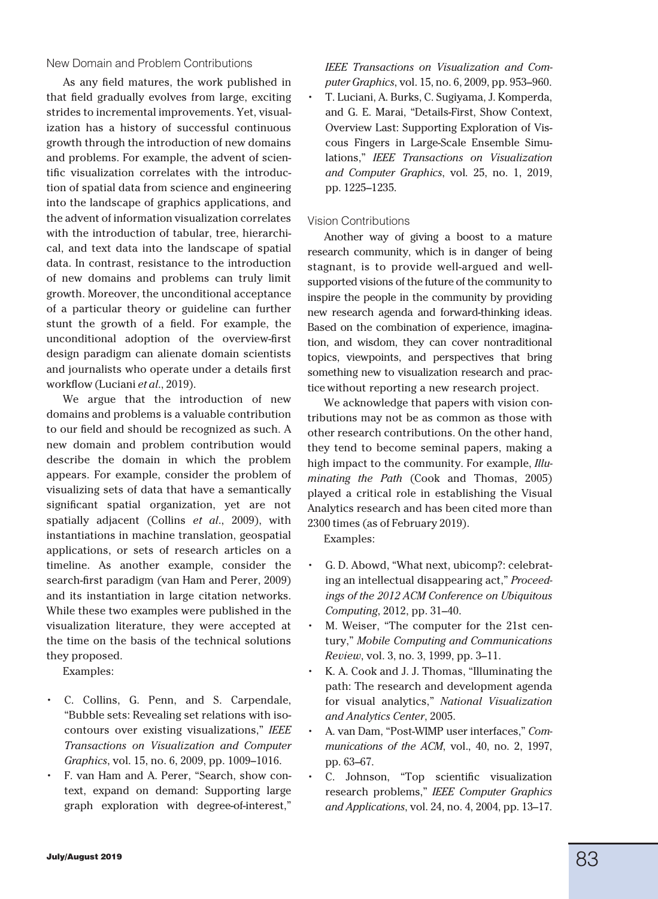#### New Domain and Problem Contributions

As any field matures, the work published in that field gradually evolves from large, exciting strides to incremental improvements. Yet, visualization has a history of successful continuous growth through the introduction of new domains and problems. For example, the advent of scientific visualization correlates with the introduction of spatial data from science and engineering into the landscape of graphics applications, and the advent of information visualization correlates with the introduction of tabular, tree, hierarchical, and text data into the landscape of spatial data. In contrast, resistance to the introduction of new domains and problems can truly limit growth. Moreover, the unconditional acceptance of a particular theory or guideline can further stunt the growth of a field. For example, the unconditional adoption of the overview-first design paradigm can alienate domain scientists and journalists who operate under a details first workflow (Luciani et al., 2019).

We argue that the introduction of new domains and problems is a valuable contribution to our field and should be recognized as such. A new domain and problem contribution would describe the domain in which the problem appears. For example, consider the problem of visualizing sets of data that have a semantically significant spatial organization, yet are not spatially adjacent (Collins et al., 2009), with instantiations in machine translation, geospatial applications, or sets of research articles on a timeline. As another example, consider the search-first paradigm (van Ham and Perer, 2009) and its instantiation in large citation networks. While these two examples were published in the visualization literature, they were accepted at the time on the basis of the technical solutions they proposed.

Examples:

- C. Collins, G. Penn, and S. Carpendale, "Bubble sets: Revealing set relations with isocontours over existing visualizations," IEEE Transactions on Visualization and Computer Graphics, vol. 15, no. 6, 2009, pp. 1009–1016.
- F. van Ham and A. Perer, "Search, show context, expand on demand: Supporting large graph exploration with degree-of-interest,"

IEEE Transactions on Visualization and Computer Graphics, vol. 15, no. 6, 2009, pp. 953–960. T. Luciani, A. Burks, C. Sugiyama, J. Komperda, and G. E. Marai, "Details-First, Show Context, Overview Last: Supporting Exploration of Viscous Fingers in Large-Scale Ensemble Simulations," IEEE Transactions on Visualization and Computer Graphics, vol. 25, no. 1, 2019, pp. 1225–1235.

#### Vision Contributions

Another way of giving a boost to a mature research community, which is in danger of being stagnant, is to provide well-argued and wellsupported visions of the future of the community to inspire the people in the community by providing new research agenda and forward-thinking ideas. Based on the combination of experience, imagination, and wisdom, they can cover nontraditional topics, viewpoints, and perspectives that bring something new to visualization research and practice without reporting a new research project.

We acknowledge that papers with vision contributions may not be as common as those with other research contributions. On the other hand, they tend to become seminal papers, making a high impact to the community. For example, Illuminating the Path (Cook and Thomas, 2005) played a critical role in establishing the Visual Analytics research and has been cited more than 2300 times (as of February 2019).

Examples:

- G. D. Abowd, "What next, ubicomp?: celebrating an intellectual disappearing act," Proceedings of the 2012 ACM Conference on Ubiquitous Computing, 2012, pp. 31–40.
- M. Weiser, "The computer for the 21st century," Mobile Computing and Communications Review, vol. 3, no. 3, 1999, pp. 3–11.
- K. A. Cook and J. J. Thomas, "Illuminating the path: The research and development agenda for visual analytics," National Visualization and Analytics Center, 2005.
- A. van Dam, "Post-WIMP user interfaces," Communications of the ACM, vol., 40, no. 2, 1997, pp. 63–67.
- C. Johnson, "Top scientific visualization research problems," IEEE Computer Graphics and Applications, vol. 24, no. 4, 2004, pp. 13–17.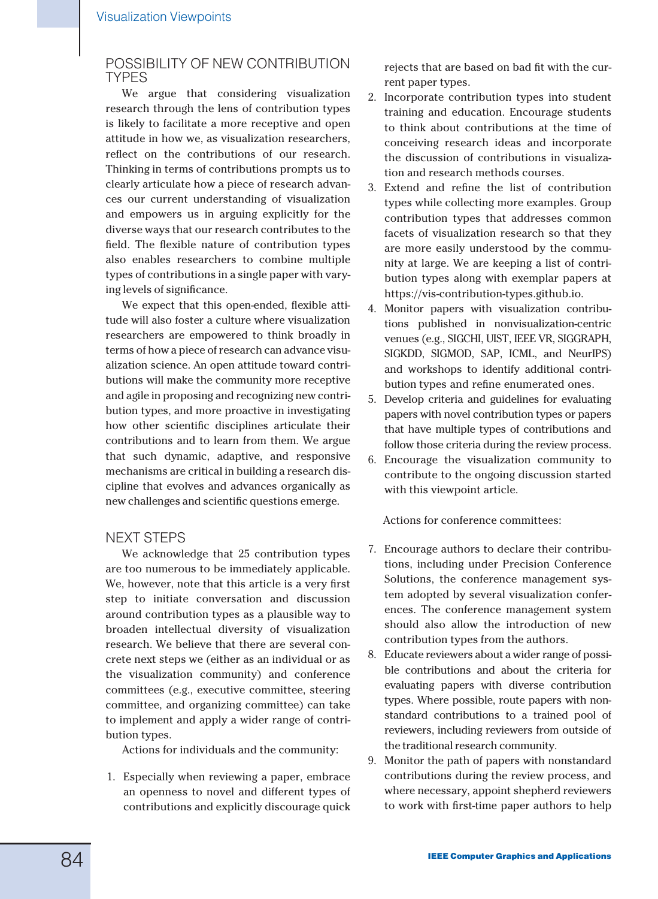# POSSIBILITY OF NEW CONTRIBUTION TYPES

We argue that considering visualization research through the lens of contribution types is likely to facilitate a more receptive and open attitude in how we, as visualization researchers, reflect on the contributions of our research. Thinking in terms of contributions prompts us to clearly articulate how a piece of research advances our current understanding of visualization and empowers us in arguing explicitly for the diverse ways that our research contributes to the field. The flexible nature of contribution types also enables researchers to combine multiple types of contributions in a single paper with varying levels of significance.

We expect that this open-ended, flexible attitude will also foster a culture where visualization researchers are empowered to think broadly in terms of how a piece of research can advance visualization science. An open attitude toward contributions will make the community more receptive and agile in proposing and recognizing new contribution types, and more proactive in investigating how other scientific disciplines articulate their contributions and to learn from them. We argue that such dynamic, adaptive, and responsive mechanisms are critical in building a research discipline that evolves and advances organically as new challenges and scientific questions emerge.

### NEXT STEPS

We acknowledge that 25 contribution types are too numerous to be immediately applicable. We, however, note that this article is a very first step to initiate conversation and discussion around contribution types as a plausible way to broaden intellectual diversity of visualization research. We believe that there are several concrete next steps we (either as an individual or as the visualization community) and conference committees (e.g., executive committee, steering committee, and organizing committee) can take to implement and apply a wider range of contribution types.

Actions for individuals and the community:

1. Especially when reviewing a paper, embrace an openness to novel and different types of contributions and explicitly discourage quick

rejects that are based on bad fit with the current paper types.

- 2. Incorporate contribution types into student training and education. Encourage students to think about contributions at the time of conceiving research ideas and incorporate the discussion of contributions in visualization and research methods courses.
- 3. Extend and refine the list of contribution types while collecting more examples. Group contribution types that addresses common facets of visualization research so that they are more easily understood by the community at large. We are keeping a list of contribution types along with exemplar papers at [https://vis-contribution-types.github.io.](https://vis-contribution-types.github.io)
- 4. Monitor papers with visualization contributions published in nonvisualization-centric venues (e.g., SIGCHI, UIST, IEEE VR, SIGGRAPH, SIGKDD, SIGMOD, SAP, ICML, and NeurIPS) and workshops to identify additional contribution types and refine enumerated ones.
- 5. Develop criteria and guidelines for evaluating papers with novel contribution types or papers that have multiple types of contributions and follow those criteria during the review process.
- 6. Encourage the visualization community to contribute to the ongoing discussion started with this viewpoint article.

Actions for conference committees:

- 7. Encourage authors to declare their contributions, including under Precision Conference Solutions, the conference management system adopted by several visualization conferences. The conference management system should also allow the introduction of new contribution types from the authors.
- 8. Educate reviewers about a wider range of possible contributions and about the criteria for evaluating papers with diverse contribution types. Where possible, route papers with nonstandard contributions to a trained pool of reviewers, including reviewers from outside of the traditional research community.
- 9. Monitor the path of papers with nonstandard contributions during the review process, and where necessary, appoint shepherd reviewers to work with first-time paper authors to help